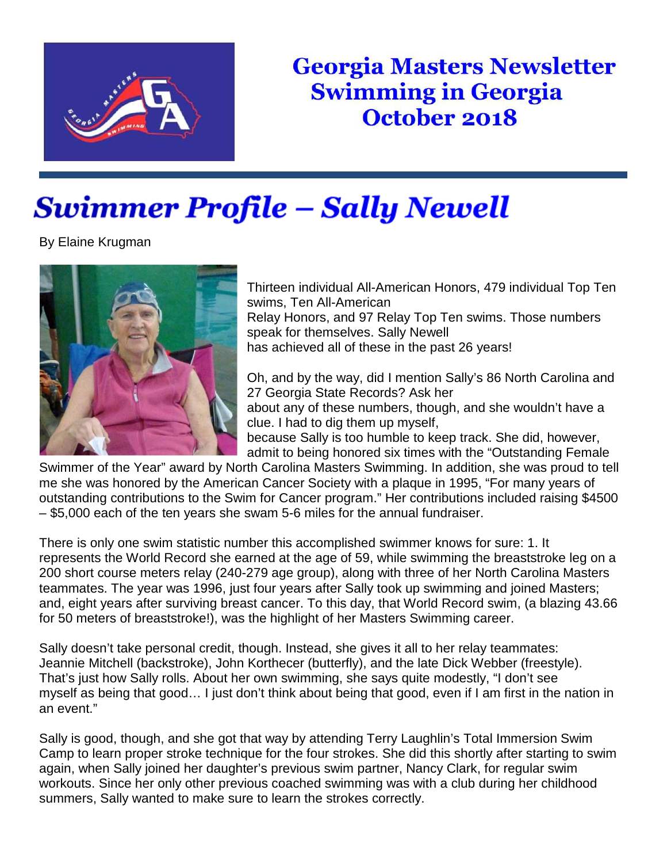

## **Georgia Masters Newsletter Swimming in Georgia** October 2018

## Swimmer Profile – Sally Newell

By Elaine Krugman



Thirteen individual All-American Honors, 479 individual Top Ten swims, Ten All-American Relay Honors, and 97 Relay Top Ten swims. Those numbers speak for themselves. Sally Newell has achieved all of these in the past 26 years!

Oh, and by the way, did I mention Sally's 86 North Carolina and 27 Georgia State Records? Ask her about any of these numbers, though, and she wouldn't have a clue. I had to dig them up myself,

because Sally is too humble to keep track. She did, however, admit to being honored six times with the "Outstanding Female

Swimmer of the Year" award by North Carolina Masters Swimming. In addition, she was proud to tell me she was honored by the American Cancer Society with a plaque in 1995, "For many years of outstanding contributions to the Swim for Cancer program." Her contributions included raising \$4500 – \$5,000 each of the ten years she swam 5-6 miles for the annual fundraiser.

There is only one swim statistic number this accomplished swimmer knows for sure: 1. It represents the World Record she earned at the age of 59, while swimming the breaststroke leg on a 200 short course meters relay (240-279 age group), along with three of her North Carolina Masters teammates. The year was 1996, just four years after Sally took up swimming and joined Masters; and, eight years after surviving breast cancer. To this day, that World Record swim, (a blazing 43.66 for 50 meters of breaststroke!), was the highlight of her Masters Swimming career.

Sally doesn't take personal credit, though. Instead, she gives it all to her relay teammates: Jeannie Mitchell (backstroke), John Korthecer (butterfly), and the late Dick Webber (freestyle). That's just how Sally rolls. About her own swimming, she says quite modestly, "I don't see myself as being that good… I just don't think about being that good, even if I am first in the nation in an event."

Sally is good, though, and she got that way by attending Terry Laughlin's Total Immersion Swim Camp to learn proper stroke technique for the four strokes. She did this shortly after starting to swim again, when Sally joined her daughter's previous swim partner, Nancy Clark, for regular swim workouts. Since her only other previous coached swimming was with a club during her childhood summers, Sally wanted to make sure to learn the strokes correctly.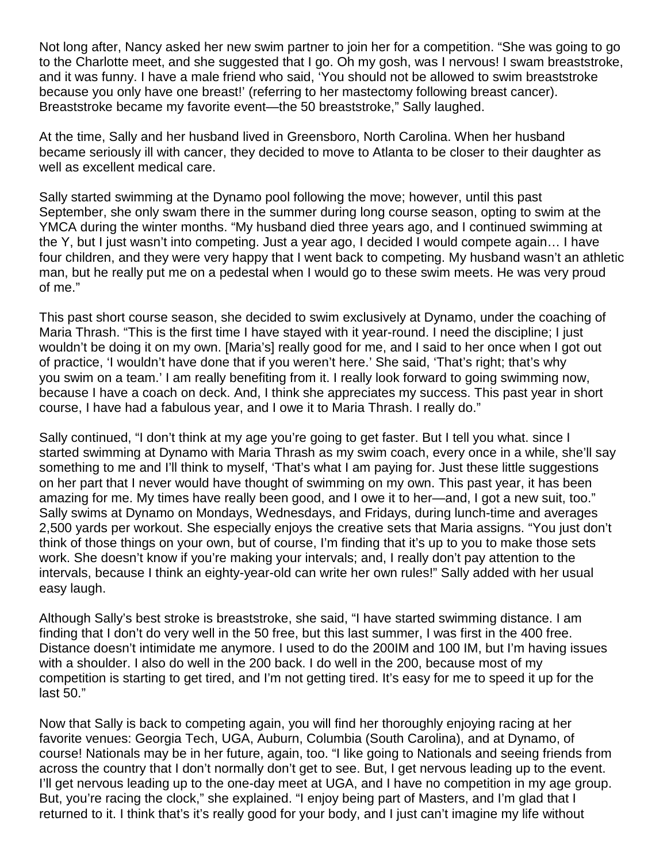Not long after, Nancy asked her new swim partner to join her for a competition. "She was going to go to the Charlotte meet, and she suggested that I go. Oh my gosh, was I nervous! I swam breaststroke, and it was funny. I have a male friend who said, 'You should not be allowed to swim breaststroke because you only have one breast!' (referring to her mastectomy following breast cancer). Breaststroke became my favorite event—the 50 breaststroke," Sally laughed.

At the time, Sally and her husband lived in Greensboro, North Carolina. When her husband became seriously ill with cancer, they decided to move to Atlanta to be closer to their daughter as well as excellent medical care.

Sally started swimming at the Dynamo pool following the move; however, until this past September, she only swam there in the summer during long course season, opting to swim at the YMCA during the winter months. "My husband died three years ago, and I continued swimming at the Y, but I just wasn't into competing. Just a year ago, I decided I would compete again… I have four children, and they were very happy that I went back to competing. My husband wasn't an athletic man, but he really put me on a pedestal when I would go to these swim meets. He was very proud of me."

This past short course season, she decided to swim exclusively at Dynamo, under the coaching of Maria Thrash. "This is the first time I have stayed with it year-round. I need the discipline; I just wouldn't be doing it on my own. [Maria's] really good for me, and I said to her once when I got out of practice, 'I wouldn't have done that if you weren't here.' She said, 'That's right; that's why you swim on a team.' I am really benefiting from it. I really look forward to going swimming now, because I have a coach on deck. And, I think she appreciates my success. This past year in short course, I have had a fabulous year, and I owe it to Maria Thrash. I really do."

Sally continued, "I don't think at my age you're going to get faster. But I tell you what. since I started swimming at Dynamo with Maria Thrash as my swim coach, every once in a while, she'll say something to me and I'll think to myself, 'That's what I am paying for. Just these little suggestions on her part that I never would have thought of swimming on my own. This past year, it has been amazing for me. My times have really been good, and I owe it to her—and, I got a new suit, too." Sally swims at Dynamo on Mondays, Wednesdays, and Fridays, during lunch-time and averages 2,500 yards per workout. She especially enjoys the creative sets that Maria assigns. "You just don't think of those things on your own, but of course, I'm finding that it's up to you to make those sets work. She doesn't know if you're making your intervals; and, I really don't pay attention to the intervals, because I think an eighty-year-old can write her own rules!" Sally added with her usual easy laugh.

Although Sally's best stroke is breaststroke, she said, "I have started swimming distance. I am finding that I don't do very well in the 50 free, but this last summer, I was first in the 400 free. Distance doesn't intimidate me anymore. I used to do the 200IM and 100 IM, but I'm having issues with a shoulder. I also do well in the 200 back. I do well in the 200, because most of my competition is starting to get tired, and I'm not getting tired. It's easy for me to speed it up for the last 50."

Now that Sally is back to competing again, you will find her thoroughly enjoying racing at her favorite venues: Georgia Tech, UGA, Auburn, Columbia (South Carolina), and at Dynamo, of course! Nationals may be in her future, again, too. "I like going to Nationals and seeing friends from across the country that I don't normally don't get to see. But, I get nervous leading up to the event. I'll get nervous leading up to the one-day meet at UGA, and I have no competition in my age group. But, you're racing the clock," she explained. "I enjoy being part of Masters, and I'm glad that I returned to it. I think that's it's really good for your body, and I just can't imagine my life without